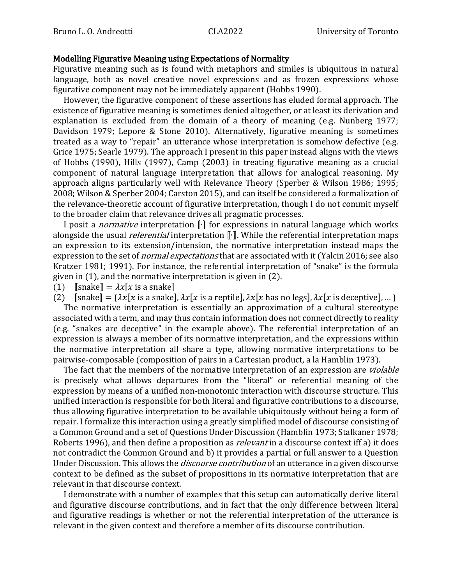## Modelling Figurative Meaning using Expectations of Normality

Figurative meaning such as is found with metaphors and similes is ubiquitous in natural language, both as novel creative novel expressions and as frozen expressions whose figurative component may not be immediately apparent (Hobbs 1990).

However, the figurative component of these assertions has eluded formal approach. The existence of figurative meaning is sometimes denied altogether, or at least its derivation and explanation is excluded from the domain of a theory of meaning (e.g. Nunberg 1977; Davidson 1979; Lepore & Stone 2010). Alternatively, figurative meaning is sometimes treated as a way to "repair" an utterance whose interpretation is somehow defective (e.g. Grice 1975; Searle 1979). The approach I present in this paper instead aligns with the views of Hobbs (1990), Hills (1997), Camp (2003) in treating figurative meaning as a crucial component of natural language interpretation that allows for analogical reasoning. My approach aligns particularly well with Relevance Theory (Sperber & Wilson 1986; 1995; 2008; Wilson & Sperber 2004; Carston 2015), and can itself be considered a formalization of the relevance-theoretic account of figurative interpretation, though I do not commit myself to the broader claim that relevance drives all pragmatic processes.

I posit a normative interpretation ⦗∙⦘ for expressions in natural language which works alongside the usual *referential* interpretation <sup>[Ⅰ</sup>]. While the referential interpretation maps an expression to its extension/intension, the normative interpretation instead maps the expression to the set of *normal expectations* that are associated with it (Yalcin 2016; see also Kratzer 1981; 1991). For instance, the referential interpretation of "snake" is the formula given in (1), and the normative interpretation is given in (2).

(1)  $\lceil \text{snake} \rceil = \lambda x \lceil x \text{ is a snake} \rceil$ 

(2)  $[\text{snake}] = {\lambda x[x \text{ is a snake}], \lambda x[x \text{ is a reptile}], \lambda x[x \text{ has no legs}], \lambda x[x \text{ is defective}], ... }$ 

The normative interpretation is essentially an approximation of a cultural stereotype associated with a term, and may thus contain information does not connect directly to reality (e.g. "snakes are deceptive" in the example above). The referential interpretation of an expression is always a member of its normative interpretation, and the expressions within the normative interpretation all share a type, allowing normative interpretations to be pairwise-composable (composition of pairs in a Cartesian product, a la Hamblin 1973).

The fact that the members of the normative interpretation of an expression are *violable* is precisely what allows departures from the "literal" or referential meaning of the expression by means of a unified non-monotonic interaction with discourse structure. This unified interaction is responsible for both literal and figurative contributions to a discourse, thus allowing figurative interpretation to be available ubiquitously without being a form of repair. I formalize this interaction using a greatly simplified model of discourse consisting of a Common Ground and a set of Questions Under Discussion (Hamblin 1973; Stalkaner 1978; Roberts 1996), and then define a proposition as *relevant* in a discourse context iff a) it does not contradict the Common Ground and b) it provides a partial or full answer to a Question Under Discussion. This allows the *discourse contribution* of an utterance in a given discourse context to be defined as the subset of propositions in its normative interpretation that are relevant in that discourse context.

I demonstrate with a number of examples that this setup can automatically derive literal and figurative discourse contributions, and in fact that the only difference between literal and figurative readings is whether or not the referential interpretation of the utterance is relevant in the given context and therefore a member of its discourse contribution.